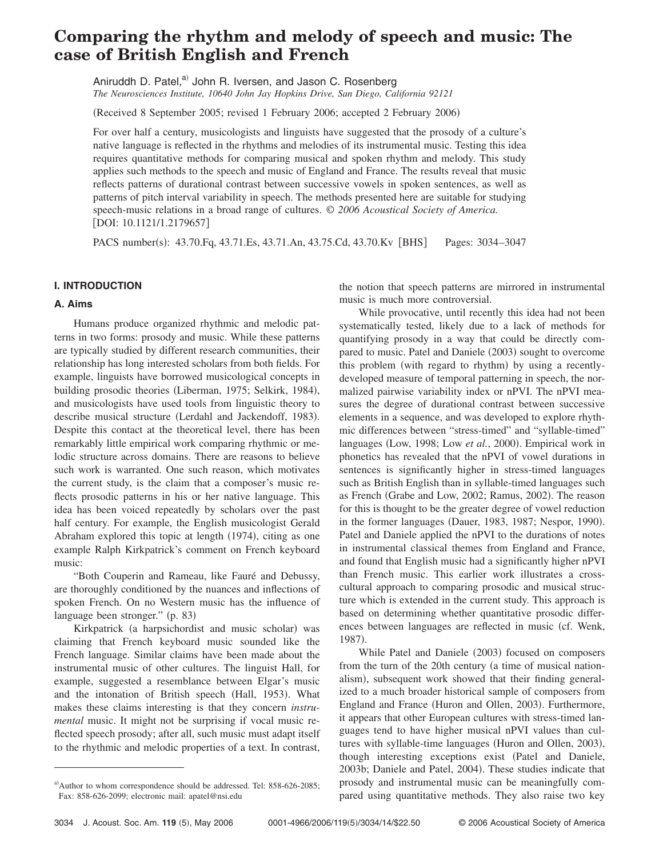# **Comparing the rhythm and melody of speech and music: The case of British English and French**

Aniruddh D. Patel, $a^{(i)}$  John R. Iversen, and Jason C. Rosenberg

*The Neurosciences Institute, 10640 John Jay Hopkins Drive, San Diego, California 92121*

(Received 8 September 2005; revised 1 February 2006; accepted 2 February 2006)

For over half a century, musicologists and linguists have suggested that the prosody of a culture's native language is reflected in the rhythms and melodies of its instrumental music. Testing this idea requires quantitative methods for comparing musical and spoken rhythm and melody. This study applies such methods to the speech and music of England and France. The results reveal that music reflects patterns of durational contrast between successive vowels in spoken sentences, as well as patterns of pitch interval variability in speech. The methods presented here are suitable for studying speech-music relations in a broad range of cultures. © *2006 Acoustical Society of America.*  $[$ DOI: 10.1121/1.2179657 $]$ 

PACS number(s): 43.70.Fq, 43.71.Es, 43.71.An, 43.75.Cd, 43.70.Kv [BHS] Pages: 3034–3047

# **I. INTRODUCTION**

## **A. Aims**

Humans produce organized rhythmic and melodic patterns in two forms: prosody and music. While these patterns are typically studied by different research communities, their relationship has long interested scholars from both fields. For example, linguists have borrowed musicological concepts in building prosodic theories (Liberman, 1975; Selkirk, 1984), and musicologists have used tools from linguistic theory to describe musical structure (Lerdahl and Jackendoff, 1983). Despite this contact at the theoretical level, there has been remarkably little empirical work comparing rhythmic or melodic structure across domains. There are reasons to believe such work is warranted. One such reason, which motivates the current study, is the claim that a composer's music reflects prosodic patterns in his or her native language. This idea has been voiced repeatedly by scholars over the past half century. For example, the English musicologist Gerald Abraham explored this topic at length  $(1974)$ , citing as one example Ralph Kirkpatrick's comment on French keyboard music:

"Both Couperin and Rameau, like Fauré and Debussy, are thoroughly conditioned by the nuances and inflections of spoken French. On no Western music has the influence of language been stronger." (p. 83)

Kirkpatrick (a harpsichordist and music scholar) was claiming that French keyboard music sounded like the French language. Similar claims have been made about the instrumental music of other cultures. The linguist Hall, for example, suggested a resemblance between Elgar's music and the intonation of British speech (Hall, 1953). What makes these claims interesting is that they concern *instrumental* music. It might not be surprising if vocal music reflected speech prosody; after all, such music must adapt itself to the rhythmic and melodic properties of a text. In contrast,

the notion that speech patterns are mirrored in instrumental music is much more controversial.

While provocative, until recently this idea had not been systematically tested, likely due to a lack of methods for quantifying prosody in a way that could be directly compared to music. Patel and Daniele (2003) sought to overcome this problem (with regard to rhythm) by using a recentlydeveloped measure of temporal patterning in speech, the normalized pairwise variability index or nPVI. The nPVI measures the degree of durational contrast between successive elements in a sequence, and was developed to explore rhythmic differences between "stress-timed" and "syllable-timed" languages (Low, 1998; Low *et al.*, 2000). Empirical work in phonetics has revealed that the nPVI of vowel durations in sentences is significantly higher in stress-timed languages such as British English than in syllable-timed languages such as French (Grabe and Low, 2002; Ramus, 2002). The reason for this is thought to be the greater degree of vowel reduction in the former languages (Dauer, 1983, 1987; Nespor, 1990). Patel and Daniele applied the nPVI to the durations of notes in instrumental classical themes from England and France, and found that English music had a significantly higher nPVI than French music. This earlier work illustrates a crosscultural approach to comparing prosodic and musical structure which is extended in the current study. This approach is based on determining whether quantitative prosodic differences between languages are reflected in music (cf. Wenk, 1987).

While Patel and Daniele (2003) focused on composers from the turn of the 20th century (a time of musical nationalism), subsequent work showed that their finding generalized to a much broader historical sample of composers from England and France (Huron and Ollen, 2003). Furthermore, it appears that other European cultures with stress-timed languages tend to have higher musical nPVI values than cultures with syllable-time languages (Huron and Ollen, 2003), though interesting exceptions exist (Patel and Daniele, 2003b; Daniele and Patel, 2004). These studies indicate that prosody and instrumental music can be meaningfully compared using quantitative methods. They also raise two key

a)Author to whom correspondence should be addressed. Tel: 858-626-2085; Fax: 858-626-2099; electronic mail: apatel@nsi.edu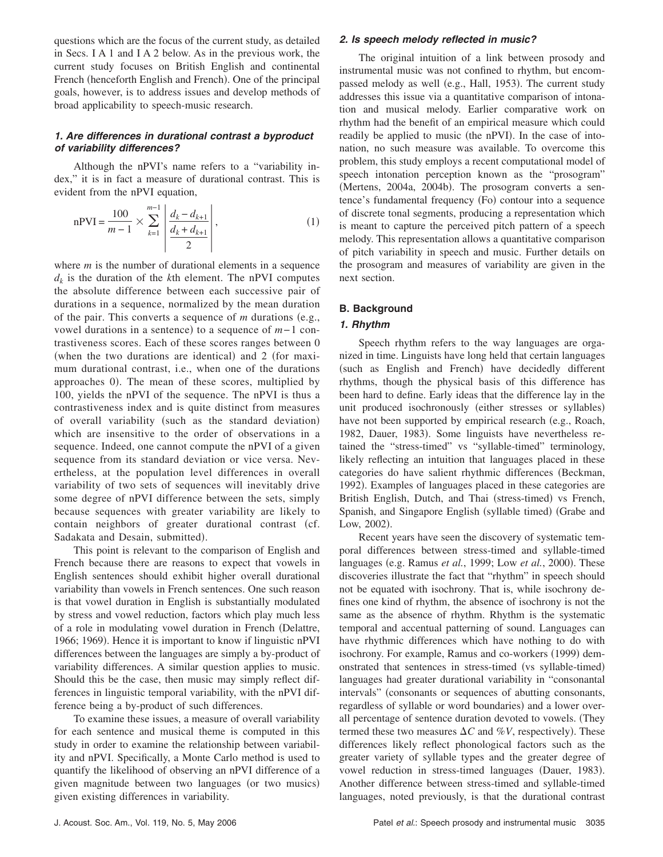questions which are the focus of the current study, as detailed in Secs. I A 1 and I A 2 below. As in the previous work, the current study focuses on British English and continental French (henceforth English and French). One of the principal goals, however, is to address issues and develop methods of broad applicability to speech-music research.

## **1. Are differences in durational contrast a byproduct of variability differences?**

Although the nPVI's name refers to a "variability index," it is in fact a measure of durational contrast. This is evident from the nPVI equation,

$$
nPVI = \frac{100}{m-1} \times \sum_{k=1}^{m-1} \left| \frac{d_k - d_{k+1}}{d_k + d_{k+1}} \right|,
$$
 (1)

where *m* is the number of durational elements in a sequence  $d_k$  is the duration of the *k*th element. The nPVI computes the absolute difference between each successive pair of durations in a sequence, normalized by the mean duration of the pair. This converts a sequence of *m* durations (e.g., vowel durations in a sentence" to a sequence of *m*−1 contrastiveness scores. Each of these scores ranges between 0 (when the two durations are identical) and  $2$  (for maximum durational contrast, i.e., when one of the durations approaches  $0$ . The mean of these scores, multiplied by 100, yields the nPVI of the sequence. The nPVI is thus a contrastiveness index and is quite distinct from measures of overall variability (such as the standard deviation) which are insensitive to the order of observations in a sequence. Indeed, one cannot compute the nPVI of a given sequence from its standard deviation or vice versa. Nevertheless, at the population level differences in overall variability of two sets of sequences will inevitably drive some degree of nPVI difference between the sets, simply because sequences with greater variability are likely to contain neighbors of greater durational contrast (cf. Sadakata and Desain, submitted).

This point is relevant to the comparison of English and French because there are reasons to expect that vowels in English sentences should exhibit higher overall durational variability than vowels in French sentences. One such reason is that vowel duration in English is substantially modulated by stress and vowel reduction, factors which play much less of a role in modulating vowel duration in French (Delattre, 1966; 1969). Hence it is important to know if linguistic nPVI differences between the languages are simply a by-product of variability differences. A similar question applies to music. Should this be the case, then music may simply reflect differences in linguistic temporal variability, with the nPVI difference being a by-product of such differences.

To examine these issues, a measure of overall variability for each sentence and musical theme is computed in this study in order to examine the relationship between variability and nPVI. Specifically, a Monte Carlo method is used to quantify the likelihood of observing an nPVI difference of a given magnitude between two languages (or two musics) given existing differences in variability.

#### **2. Is speech melody reflected in music?**

The original intuition of a link between prosody and instrumental music was not confined to rhythm, but encompassed melody as well (e.g., Hall, 1953). The current study addresses this issue via a quantitative comparison of intonation and musical melody. Earlier comparative work on rhythm had the benefit of an empirical measure which could readily be applied to music (the nPVI). In the case of intonation, no such measure was available. To overcome this problem, this study employs a recent computational model of speech intonation perception known as the "prosogram" (Mertens, 2004a, 2004b). The prosogram converts a sentence's fundamental frequency (Fo) contour into a sequence of discrete tonal segments, producing a representation which is meant to capture the perceived pitch pattern of a speech melody. This representation allows a quantitative comparison of pitch variability in speech and music. Further details on the prosogram and measures of variability are given in the next section.

## **B. Background**

### **1. Rhythm**

Speech rhythm refers to the way languages are organized in time. Linguists have long held that certain languages (such as English and French) have decidedly different rhythms, though the physical basis of this difference has been hard to define. Early ideas that the difference lay in the unit produced isochronously (either stresses or syllables) have not been supported by empirical research (e.g., Roach, 1982, Dauer, 1983). Some linguists have nevertheless retained the "stress-timed" vs "syllable-timed" terminology, likely reflecting an intuition that languages placed in these categories do have salient rhythmic differences (Beckman, 1992). Examples of languages placed in these categories are British English, Dutch, and Thai (stress-timed) vs French, Spanish, and Singapore English (syllable timed) (Grabe and Low, 2002).

Recent years have seen the discovery of systematic temporal differences between stress-timed and syllable-timed languages (e.g. Ramus *et al.*, 1999; Low *et al.*, 2000). These discoveries illustrate the fact that "rhythm" in speech should not be equated with isochrony. That is, while isochrony defines one kind of rhythm, the absence of isochrony is not the same as the absence of rhythm. Rhythm is the systematic temporal and accentual patterning of sound. Languages can have rhythmic differences which have nothing to do with isochrony. For example, Ramus and co-workers (1999) demonstrated that sentences in stress-timed (vs syllable-timed) languages had greater durational variability in "consonantal intervals" (consonants or sequences of abutting consonants, regardless of syllable or word boundaries) and a lower overall percentage of sentence duration devoted to vowels. (They termed these two measures  $\Delta C$  and %*V*, respectively). These differences likely reflect phonological factors such as the greater variety of syllable types and the greater degree of vowel reduction in stress-timed languages (Dauer, 1983). Another difference between stress-timed and syllable-timed languages, noted previously, is that the durational contrast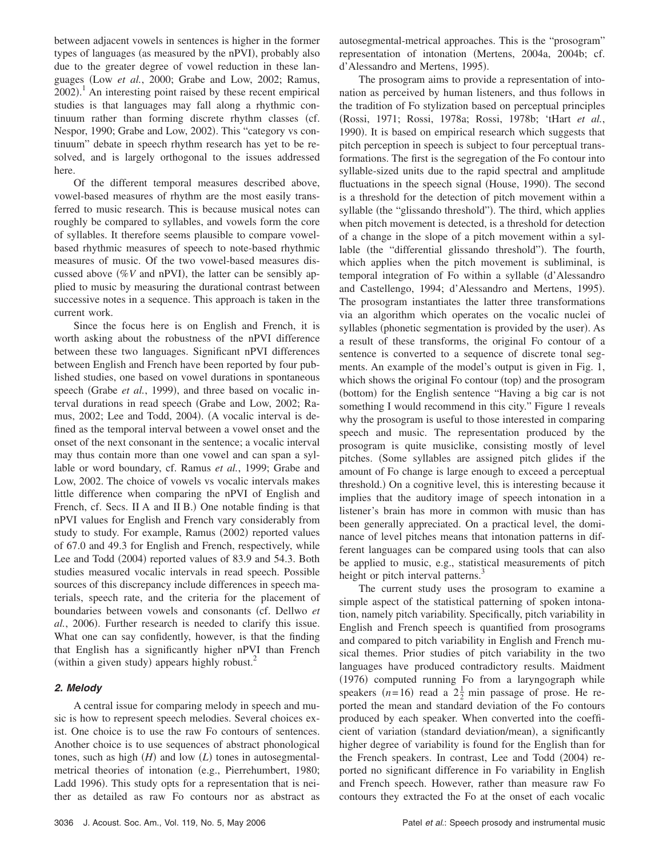between adjacent vowels in sentences is higher in the former types of languages (as measured by the nPVI), probably also due to the greater degree of vowel reduction in these languages (Low *et al.*, 2000; Grabe and Low, 2002; Ramus,  $2002$ ).<sup>1</sup> An interesting point raised by these recent empirical studies is that languages may fall along a rhythmic continuum rather than forming discrete rhythm classes (cf. Nespor, 1990; Grabe and Low, 2002). This "category vs continuum" debate in speech rhythm research has yet to be resolved, and is largely orthogonal to the issues addressed here.

Of the different temporal measures described above, vowel-based measures of rhythm are the most easily transferred to music research. This is because musical notes can roughly be compared to syllables, and vowels form the core of syllables. It therefore seems plausible to compare vowelbased rhythmic measures of speech to note-based rhythmic measures of music. Of the two vowel-based measures discussed above  $(\%V \text{ and nPVI})$ , the latter can be sensibly applied to music by measuring the durational contrast between successive notes in a sequence. This approach is taken in the current work.

Since the focus here is on English and French, it is worth asking about the robustness of the nPVI difference between these two languages. Significant nPVI differences between English and French have been reported by four published studies, one based on vowel durations in spontaneous speech (Grabe *et al.*, 1999), and three based on vocalic interval durations in read speech (Grabe and Low, 2002; Ramus, 2002; Lee and Todd, 2004). (A vocalic interval is defined as the temporal interval between a vowel onset and the onset of the next consonant in the sentence; a vocalic interval may thus contain more than one vowel and can span a syllable or word boundary, cf. Ramus *et al.*, 1999; Grabe and Low, 2002. The choice of vowels vs vocalic intervals makes little difference when comparing the nPVI of English and French, cf. Secs. II A and II B.) One notable finding is that nPVI values for English and French vary considerably from study to study. For example, Ramus (2002) reported values of 67.0 and 49.3 for English and French, respectively, while Lee and Todd (2004) reported values of 83.9 and 54.3. Both studies measured vocalic intervals in read speech. Possible sources of this discrepancy include differences in speech materials, speech rate, and the criteria for the placement of boundaries between vowels and consonants !cf. Dellwo *et al.*, 2006). Further research is needed to clarify this issue. What one can say confidently, however, is that the finding that English has a significantly higher nPVI than French (within a given study) appears highly robust.<sup>2</sup>

## **2. Melody**

A central issue for comparing melody in speech and music is how to represent speech melodies. Several choices exist. One choice is to use the raw Fo contours of sentences. Another choice is to use sequences of abstract phonological tones, such as high  $(H)$  and low  $(L)$  tones in autosegmentalmetrical theories of intonation (e.g., Pierrehumbert, 1980; Ladd 1996). This study opts for a representation that is neither as detailed as raw Fo contours nor as abstract as autosegmental-metrical approaches. This is the "prosogram" representation of intonation (Mertens, 2004a, 2004b; cf. d'Alessandro and Mertens, 1995).

The prosogram aims to provide a representation of intonation as perceived by human listeners, and thus follows in the tradition of Fo stylization based on perceptual principles !Rossi, 1971; Rossi, 1978a; Rossi, 1978b; 'tHart *et al.*, 1990). It is based on empirical research which suggests that pitch perception in speech is subject to four perceptual transformations. The first is the segregation of the Fo contour into syllable-sized units due to the rapid spectral and amplitude fluctuations in the speech signal (House, 1990). The second is a threshold for the detection of pitch movement within a syllable (the "glissando threshold"). The third, which applies when pitch movement is detected, is a threshold for detection of a change in the slope of a pitch movement within a syllable (the "differential glissando threshold"). The fourth, which applies when the pitch movement is subliminal, is temporal integration of Fo within a syllable (d'Alessandro and Castellengo, 1994; d'Alessandro and Mertens, 1995). The prosogram instantiates the latter three transformations via an algorithm which operates on the vocalic nuclei of syllables (phonetic segmentation is provided by the user). As a result of these transforms, the original Fo contour of a sentence is converted to a sequence of discrete tonal segments. An example of the model's output is given in Fig. 1, which shows the original Fo contour (top) and the prosogram (bottom) for the English sentence "Having a big car is not something I would recommend in this city." Figure 1 reveals why the prosogram is useful to those interested in comparing speech and music. The representation produced by the prosogram is quite musiclike, consisting mostly of level pitches. (Some syllables are assigned pitch glides if the amount of Fo change is large enough to exceed a perceptual threshold.) On a cognitive level, this is interesting because it implies that the auditory image of speech intonation in a listener's brain has more in common with music than has been generally appreciated. On a practical level, the dominance of level pitches means that intonation patterns in different languages can be compared using tools that can also be applied to music, e.g., statistical measurements of pitch height or pitch interval patterns.<sup>3</sup>

The current study uses the prosogram to examine a simple aspect of the statistical patterning of spoken intonation, namely pitch variability. Specifically, pitch variability in English and French speech is quantified from prosograms and compared to pitch variability in English and French musical themes. Prior studies of pitch variability in the two languages have produced contradictory results. Maidment (1976) computed running Fo from a laryngograph while speakers  $(n=16)$  read a  $2\frac{1}{2}$  min passage of prose. He reported the mean and standard deviation of the Fo contours produced by each speaker. When converted into the coefficient of variation (standard deviation/mean), a significantly higher degree of variability is found for the English than for the French speakers. In contrast, Lee and Todd (2004) reported no significant difference in Fo variability in English and French speech. However, rather than measure raw Fo contours they extracted the Fo at the onset of each vocalic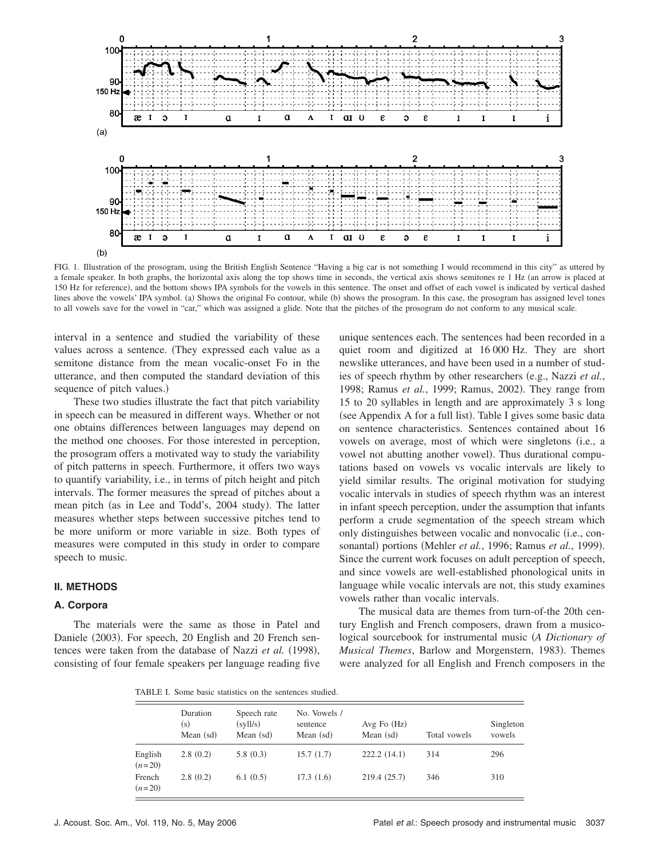

FIG. 1. Illustration of the prosogram, using the British English Sentence "Having a big car is not something I would recommend in this city" as uttered by a female speaker. In both graphs, the horizontal axis along the top shows time in seconds, the vertical axis shows semitones re 1 Hz (an arrow is placed at 150 Hz for reference), and the bottom shows IPA symbols for the vowels in this sentence. The onset and offset of each vowel is indicated by vertical dashed lines above the vowels' IPA symbol. (a) Shows the original Fo contour, while (b) shows the prosogram. In this case, the prosogram has assigned level tones to all vowels save for the vowel in "car," which was assigned a glide. Note that the pitches of the prosogram do not conform to any musical scale.

interval in a sentence and studied the variability of these values across a sentence. (They expressed each value as a semitone distance from the mean vocalic-onset Fo in the utterance, and then computed the standard deviation of this sequence of pitch values.)

These two studies illustrate the fact that pitch variability in speech can be measured in different ways. Whether or not one obtains differences between languages may depend on the method one chooses. For those interested in perception, the prosogram offers a motivated way to study the variability of pitch patterns in speech. Furthermore, it offers two ways to quantify variability, i.e., in terms of pitch height and pitch intervals. The former measures the spread of pitches about a mean pitch (as in Lee and Todd's, 2004 study). The latter measures whether steps between successive pitches tend to be more uniform or more variable in size. Both types of measures were computed in this study in order to compare speech to music.

#### **II. METHODS**

## **A. Corpora**

The materials were the same as those in Patel and Daniele (2003). For speech, 20 English and 20 French sentences were taken from the database of Nazzi *et al.* (1998), consisting of four female speakers per language reading five unique sentences each. The sentences had been recorded in a quiet room and digitized at 16 000 Hz. They are short newslike utterances, and have been used in a number of studies of speech rhythm by other researchers (e.g., Nazzi *et al.*, 1998; Ramus et al., 1999; Ramus, 2002). They range from 15 to 20 syllables in length and are approximately 3 s long (see Appendix A for a full list). Table I gives some basic data on sentence characteristics. Sentences contained about 16 vowels on average, most of which were singletons (i.e., a vowel not abutting another vowel). Thus durational computations based on vowels vs vocalic intervals are likely to yield similar results. The original motivation for studying vocalic intervals in studies of speech rhythm was an interest in infant speech perception, under the assumption that infants perform a crude segmentation of the speech stream which only distinguishes between vocalic and nonvocalic (i.e., consonantal) portions (Mehler *et al.*, 1996; Ramus *et al.*, 1999). Since the current work focuses on adult perception of speech, and since vowels are well-established phonological units in language while vocalic intervals are not, this study examines vowels rather than vocalic intervals.

The musical data are themes from turn-of-the 20th century English and French composers, drawn from a musicological sourcebook for instrumental music (A Dictionary of *Musical Themes, Barlow and Morgenstern, 1983). Themes* were analyzed for all English and French composers in the

TABLE I. Some basic statistics on the sentences studied.

|                     | Duration         | Speech rate           | No. Vowels /          |                              |              |                     |  |
|---------------------|------------------|-----------------------|-----------------------|------------------------------|--------------|---------------------|--|
|                     | (s)<br>Mean (sd) | (svll/s)<br>Mean (sd) | sentence<br>Mean (sd) | Avg Fo $(Hz)$<br>Mean $(sd)$ | Total vowels | Singleton<br>vowels |  |
| English<br>$(n=20)$ | 2.8(0.2)         | 5.8(0.3)              | 15.7(1.7)             | 222.2(14.1)                  | 314          | 296                 |  |
| French<br>$(n=20)$  | 2.8(0.2)         | 6.1(0.5)              | 17.3(1.6)             | 219.4 (25.7)                 | 346          | 310                 |  |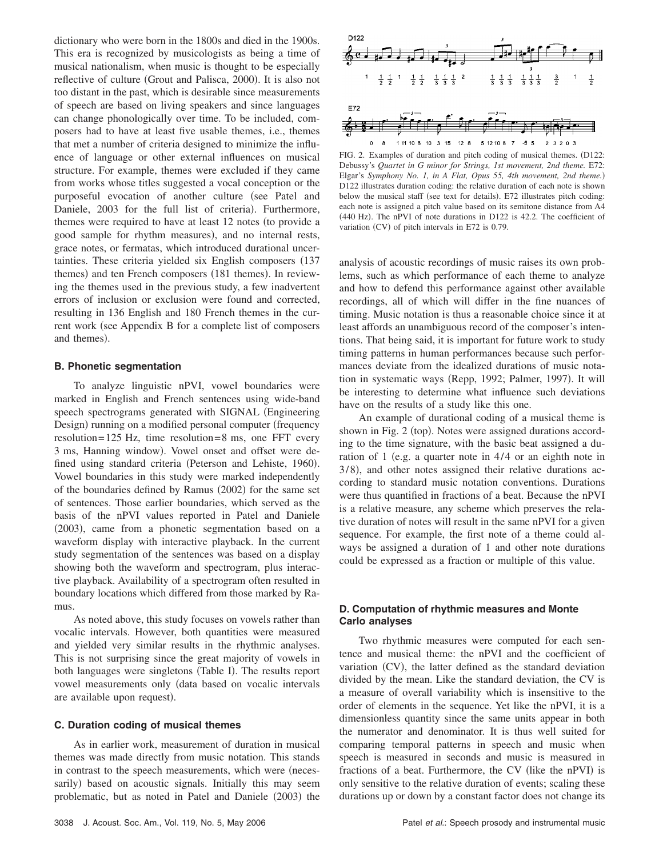dictionary who were born in the 1800s and died in the 1900s. This era is recognized by musicologists as being a time of musical nationalism, when music is thought to be especially reflective of culture (Grout and Palisca, 2000). It is also not too distant in the past, which is desirable since measurements of speech are based on living speakers and since languages can change phonologically over time. To be included, composers had to have at least five usable themes, i.e., themes that met a number of criteria designed to minimize the influence of language or other external influences on musical structure. For example, themes were excluded if they came from works whose titles suggested a vocal conception or the purposeful evocation of another culture (see Patel and Daniele, 2003 for the full list of criteria). Furthermore, themes were required to have at least 12 notes (to provide a good sample for rhythm measures), and no internal rests, grace notes, or fermatas, which introduced durational uncertainties. These criteria yielded six English composers (137 themes) and ten French composers (181 themes). In reviewing the themes used in the previous study, a few inadvertent errors of inclusion or exclusion were found and corrected, resulting in 136 English and 180 French themes in the current work (see Appendix B for a complete list of composers and themes).

#### **B. Phonetic segmentation**

To analyze linguistic nPVI, vowel boundaries were marked in English and French sentences using wide-band speech spectrograms generated with SIGNAL (Engineering Design) running on a modified personal computer (frequency resolution=125 Hz, time resolution=8 ms, one FFT every 3 ms, Hanning window). Vowel onset and offset were defined using standard criteria (Peterson and Lehiste, 1960). Vowel boundaries in this study were marked independently of the boundaries defined by Ramus (2002) for the same set of sentences. Those earlier boundaries, which served as the basis of the nPVI values reported in Patel and Daniele  $(2003)$ , came from a phonetic segmentation based on a waveform display with interactive playback. In the current study segmentation of the sentences was based on a display showing both the waveform and spectrogram, plus interactive playback. Availability of a spectrogram often resulted in boundary locations which differed from those marked by Ramus.

As noted above, this study focuses on vowels rather than vocalic intervals. However, both quantities were measured and yielded very similar results in the rhythmic analyses. This is not surprising since the great majority of vowels in both languages were singletons (Table I). The results report vowel measurements only (data based on vocalic intervals are available upon request).

#### **C. Duration coding of musical themes**

As in earlier work, measurement of duration in musical themes was made directly from music notation. This stands in contrast to the speech measurements, which were (necessarily) based on acoustic signals. Initially this may seem problematic, but as noted in Patel and Daniele (2003) the



FIG. 2. Examples of duration and pitch coding of musical themes. (D122: Debussy's *Quartet in G minor for Strings, 1st movement, 2nd theme.* E72: Elgar's Symphony No. 1, in A Flat, Opus 55, 4th movement, 2nd theme.) D122 illustrates duration coding: the relative duration of each note is shown below the musical staff (see text for details). E72 illustrates pitch coding: each note is assigned a pitch value based on its semitone distance from A4  $(440 \text{ Hz})$ . The nPVI of note durations in D122 is 42.2. The coefficient of variation (CV) of pitch intervals in E72 is 0.79.

analysis of acoustic recordings of music raises its own problems, such as which performance of each theme to analyze and how to defend this performance against other available recordings, all of which will differ in the fine nuances of timing. Music notation is thus a reasonable choice since it at least affords an unambiguous record of the composer's intentions. That being said, it is important for future work to study timing patterns in human performances because such performances deviate from the idealized durations of music notation in systematic ways (Repp, 1992; Palmer, 1997). It will be interesting to determine what influence such deviations have on the results of a study like this one.

An example of durational coding of a musical theme is shown in Fig. 2 (top). Notes were assigned durations according to the time signature, with the basic beat assigned a duration of 1 (e.g. a quarter note in  $4/4$  or an eighth note in  $3/8$ ), and other notes assigned their relative durations according to standard music notation conventions. Durations were thus quantified in fractions of a beat. Because the nPVI is a relative measure, any scheme which preserves the relative duration of notes will result in the same nPVI for a given sequence. For example, the first note of a theme could always be assigned a duration of 1 and other note durations could be expressed as a fraction or multiple of this value.

## **D. Computation of rhythmic measures and Monte Carlo analyses**

Two rhythmic measures were computed for each sentence and musical theme: the nPVI and the coefficient of variation  $(CV)$ , the latter defined as the standard deviation divided by the mean. Like the standard deviation, the CV is a measure of overall variability which is insensitive to the order of elements in the sequence. Yet like the nPVI, it is a dimensionless quantity since the same units appear in both the numerator and denominator. It is thus well suited for comparing temporal patterns in speech and music when speech is measured in seconds and music is measured in fractions of a beat. Furthermore, the CV (like the nPVI) is only sensitive to the relative duration of events; scaling these durations up or down by a constant factor does not change its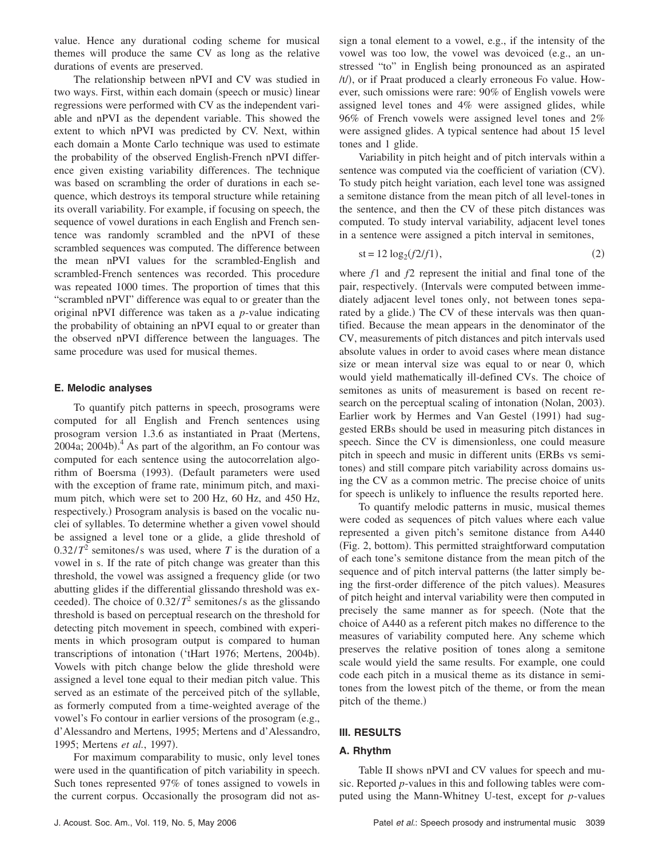value. Hence any durational coding scheme for musical themes will produce the same CV as long as the relative durations of events are preserved.

The relationship between nPVI and CV was studied in two ways. First, within each domain (speech or music) linear regressions were performed with CV as the independent variable and nPVI as the dependent variable. This showed the extent to which nPVI was predicted by CV. Next, within each domain a Monte Carlo technique was used to estimate the probability of the observed English-French nPVI difference given existing variability differences. The technique was based on scrambling the order of durations in each sequence, which destroys its temporal structure while retaining its overall variability. For example, if focusing on speech, the sequence of vowel durations in each English and French sentence was randomly scrambled and the nPVI of these scrambled sequences was computed. The difference between the mean nPVI values for the scrambled-English and scrambled-French sentences was recorded. This procedure was repeated 1000 times. The proportion of times that this "scrambled nPVI" difference was equal to or greater than the original nPVI difference was taken as a *p*-value indicating the probability of obtaining an nPVI equal to or greater than the observed nPVI difference between the languages. The same procedure was used for musical themes.

#### **E. Melodic analyses**

To quantify pitch patterns in speech, prosograms were computed for all English and French sentences using prosogram version 1.3.6 as instantiated in Praat (Mertens,  $2004a$ ;  $2004b$ .<sup>4</sup> As part of the algorithm, an Fo contour was computed for each sentence using the autocorrelation algorithm of Boersma (1993). (Default parameters were used with the exception of frame rate, minimum pitch, and maximum pitch, which were set to 200 Hz, 60 Hz, and 450 Hz, respectively.) Prosogram analysis is based on the vocalic nuclei of syllables. To determine whether a given vowel should be assigned a level tone or a glide, a glide threshold of  $0.32/T<sup>2</sup>$  semitones/s was used, where *T* is the duration of a vowel in s. If the rate of pitch change was greater than this threshold, the vowel was assigned a frequency glide (or two abutting glides if the differential glissando threshold was exceeded). The choice of  $0.32/T^2$  semitones/s as the glissando threshold is based on perceptual research on the threshold for detecting pitch movement in speech, combined with experiments in which prosogram output is compared to human transcriptions of intonation ('tHart 1976; Mertens, 2004b). Vowels with pitch change below the glide threshold were assigned a level tone equal to their median pitch value. This served as an estimate of the perceived pitch of the syllable, as formerly computed from a time-weighted average of the vowel's Fo contour in earlier versions of the prosogram (e.g., d'Alessandro and Mertens, 1995; Mertens and d'Alessandro, 1995; Mertens *et al.*, 1997).

For maximum comparability to music, only level tones were used in the quantification of pitch variability in speech. Such tones represented 97% of tones assigned to vowels in the current corpus. Occasionally the prosogram did not assign a tonal element to a vowel, e.g., if the intensity of the vowel was too low, the vowel was devoiced (e.g., an unstressed "to" in English being pronounced as an aspirated  $/t$ ), or if Praat produced a clearly erroneous Fo value. However, such omissions were rare: 90% of English vowels were assigned level tones and 4% were assigned glides, while 96% of French vowels were assigned level tones and 2% were assigned glides. A typical sentence had about 15 level tones and 1 glide.

Variability in pitch height and of pitch intervals within a sentence was computed via the coefficient of variation  $(CV)$ . To study pitch height variation, each level tone was assigned a semitone distance from the mean pitch of all level-tones in the sentence, and then the CV of these pitch distances was computed. To study interval variability, adjacent level tones in a sentence were assigned a pitch interval in semitones,

$$
st = 12 \log_2(f2/f1),\tag{2}
$$

where *f*1 and *f*2 represent the initial and final tone of the pair, respectively. (Intervals were computed between immediately adjacent level tones only, not between tones separated by a glide.) The CV of these intervals was then quantified. Because the mean appears in the denominator of the CV, measurements of pitch distances and pitch intervals used absolute values in order to avoid cases where mean distance size or mean interval size was equal to or near 0, which would yield mathematically ill-defined CVs. The choice of semitones as units of measurement is based on recent research on the perceptual scaling of intonation (Nolan, 2003). Earlier work by Hermes and Van Gestel (1991) had suggested ERBs should be used in measuring pitch distances in speech. Since the CV is dimensionless, one could measure pitch in speech and music in different units (ERBs vs semitones) and still compare pitch variability across domains using the CV as a common metric. The precise choice of units for speech is unlikely to influence the results reported here.

To quantify melodic patterns in music, musical themes were coded as sequences of pitch values where each value represented a given pitch's semitone distance from A440 (Fig. 2, bottom). This permitted straightforward computation of each tone's semitone distance from the mean pitch of the sequence and of pitch interval patterns (the latter simply being the first-order difference of the pitch values). Measures of pitch height and interval variability were then computed in precisely the same manner as for speech. (Note that the choice of A440 as a referent pitch makes no difference to the measures of variability computed here. Any scheme which preserves the relative position of tones along a semitone scale would yield the same results. For example, one could code each pitch in a musical theme as its distance in semitones from the lowest pitch of the theme, or from the mean pitch of the theme.)

#### **III. RESULTS**

#### **A. Rhythm**

Table II shows nPVI and CV values for speech and music. Reported *p*-values in this and following tables were computed using the Mann-Whitney U-test, except for *p*-values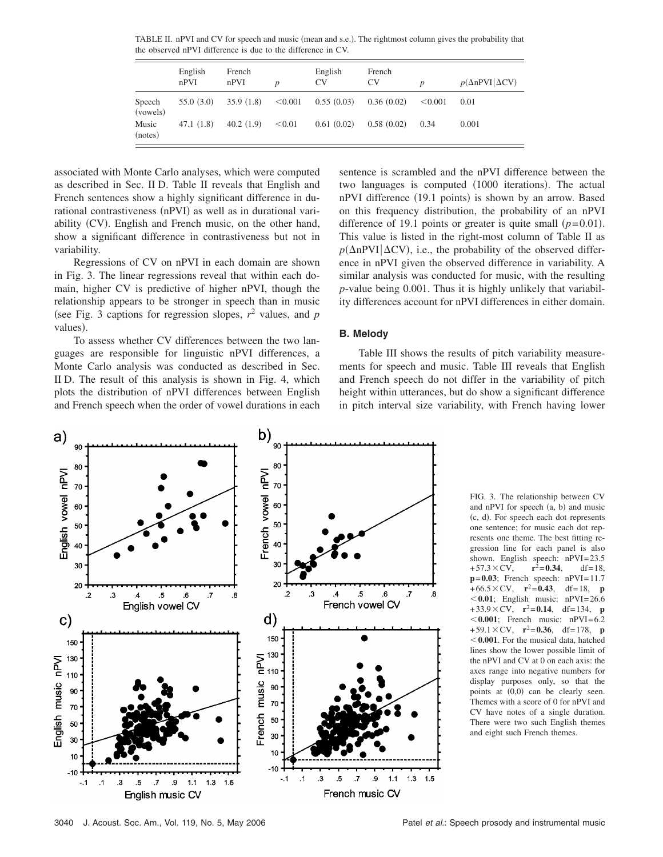TABLE II. nPVI and CV for speech and music (mean and s.e.). The rightmost column gives the probability that the observed nPVI difference is due to the difference in CV.

|                    | English<br>$n$ PVI | French<br>$n$ PVI | n       | English<br>CV | French<br><b>CV</b> | $\boldsymbol{D}$ | $p(\Delta n$ PVI $ \Delta CV)$ |
|--------------------|--------------------|-------------------|---------|---------------|---------------------|------------------|--------------------------------|
| Speech<br>(vowels) | 55.0(3.0)          | 35.9(1.8)         | < 0.001 | 0.55(0.03)    | 0.36(0.02)          | < 0.001          | 0.01                           |
| Music<br>(notes)   | 47.1(1.8)          | 40.2(1.9)         | < 0.01  | 0.61(0.02)    | 0.58(0.02)          | 0.34             | 0.001                          |

associated with Monte Carlo analyses, which were computed as described in Sec. II D. Table II reveals that English and French sentences show a highly significant difference in durational contrastiveness (nPVI) as well as in durational variability (CV). English and French music, on the other hand, show a significant difference in contrastiveness but not in variability.

Regressions of CV on nPVI in each domain are shown in Fig. 3. The linear regressions reveal that within each domain, higher CV is predictive of higher nPVI, though the relationship appears to be stronger in speech than in music (see Fig. 3 captions for regression slopes,  $r^2$  values, and *p* values).

To assess whether CV differences between the two languages are responsible for linguistic nPVI differences, a Monte Carlo analysis was conducted as described in Sec. II D. The result of this analysis is shown in Fig. 4, which plots the distribution of nPVI differences between English and French speech when the order of vowel durations in each sentence is scrambled and the nPVI difference between the two languages is computed (1000 iterations). The actual nPVI difference (19.1 points) is shown by an arrow. Based on this frequency distribution, the probability of an nPVI difference of 19.1 points or greater is quite small  $(p=0.01)$ . This value is listed in the right-most column of Table II as  $p(\Delta n$ PVI $|\Delta CV$ ), i.e., the probability of the observed difference in nPVI given the observed difference in variability. A similar analysis was conducted for music, with the resulting *p*-value being 0.001. Thus it is highly unlikely that variability differences account for nPVI differences in either domain.

## **B. Melody**

Table III shows the results of pitch variability measurements for speech and music. Table III reveals that English and French speech do not differ in the variability of pitch height within utterances, but do show a significant difference in pitch interval size variability, with French having lower



FIG. 3. The relationship between CV and nPVI for speech (a, b) and music (c, d). For speech each dot represents one sentence; for music each dot represents one theme. The best fitting regression line for each panel is also shown. English speech: nPVI=23.5  $+57.3 \times CV$ , **r**<sup>2</sup>=0.34, df=18, **p**=**0.03**; French speech: nPVI=11.7  $+66.5 \times CV$ , **r**<sup>2</sup>=**0.43**, df=18, **p** #**0.01**; English music: nPVI=26.6  $+33.9 \times CV$ , **r**<sup>2</sup>=**0.14**, df=134, **p** #**0.001**; French music: nPVI=6.2  $+59.1 \times CV$ , **r**<sup>2</sup>=**0.36**, df=178, **p** #**0.001**. For the musical data, hatched lines show the lower possible limit of the nPVI and CV at 0 on each axis: the axes range into negative numbers for display purposes only, so that the points at  $(0,0)$  can be clearly seen. Themes with a score of 0 for nPVI and CV have notes of a single duration. There were two such English themes and eight such French themes.

3040 J. Acoust. Soc. Am., Vol. 119, No. 5, May 2006 Patel et al.: Speech prosody and instrumental music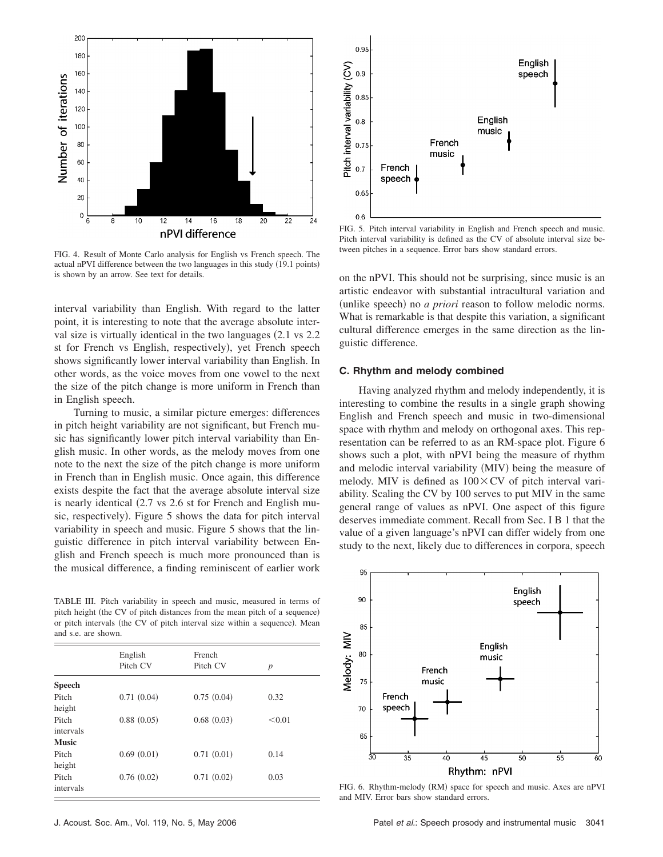

FIG. 4. Result of Monte Carlo analysis for English vs French speech. The actual nPVI difference between the two languages in this study (19.1 points) is shown by an arrow. See text for details.

interval variability than English. With regard to the latter point, it is interesting to note that the average absolute interval size is virtually identical in the two languages (2.1 vs 2.2) st for French vs English, respectively), yet French speech shows significantly lower interval variability than English. In other words, as the voice moves from one vowel to the next the size of the pitch change is more uniform in French than in English speech.

Turning to music, a similar picture emerges: differences in pitch height variability are not significant, but French music has significantly lower pitch interval variability than English music. In other words, as the melody moves from one note to the next the size of the pitch change is more uniform in French than in English music. Once again, this difference exists despite the fact that the average absolute interval size is nearly identical  $(2.7 \text{ vs } 2.6 \text{ st for French and English mu$ sic, respectively). Figure 5 shows the data for pitch interval variability in speech and music. Figure 5 shows that the linguistic difference in pitch interval variability between English and French speech is much more pronounced than is the musical difference, a finding reminiscent of earlier work

TABLE III. Pitch variability in speech and music, measured in terms of pitch height (the CV of pitch distances from the mean pitch of a sequence) or pitch intervals (the CV of pitch interval size within a sequence). Mean and s.e. are shown.

|           | English<br>Pitch CV | French<br>Pitch CV | $\boldsymbol{p}$ |  |
|-----------|---------------------|--------------------|------------------|--|
| Speech    |                     |                    |                  |  |
| Pitch     | 0.71(0.04)          | 0.75(0.04)         | 0.32             |  |
| height    |                     |                    |                  |  |
| Pitch     | 0.88(0.05)          | 0.68(0.03)         | < 0.01           |  |
| intervals |                     |                    |                  |  |
| Music     |                     |                    |                  |  |
| Pitch     | 0.69(0.01)          | 0.71(0.01)         | 0.14             |  |
| height    |                     |                    |                  |  |
| Pitch     | 0.76(0.02)          | 0.71(0.02)         | 0.03             |  |
| intervals |                     |                    |                  |  |
|           |                     |                    |                  |  |



FIG. 5. Pitch interval variability in English and French speech and music. Pitch interval variability is defined as the CV of absolute interval size between pitches in a sequence. Error bars show standard errors.

on the nPVI. This should not be surprising, since music is an artistic endeavor with substantial intracultural variation and (unlike speech) no *a priori* reason to follow melodic norms. What is remarkable is that despite this variation, a significant cultural difference emerges in the same direction as the linguistic difference.

#### **C. Rhythm and melody combined**

Having analyzed rhythm and melody independently, it is interesting to combine the results in a single graph showing English and French speech and music in two-dimensional space with rhythm and melody on orthogonal axes. This representation can be referred to as an RM-space plot. Figure 6 shows such a plot, with nPVI being the measure of rhythm and melodic interval variability (MIV) being the measure of melody. MIV is defined as  $100 \times CV$  of pitch interval variability. Scaling the CV by 100 serves to put MIV in the same general range of values as nPVI. One aspect of this figure deserves immediate comment. Recall from Sec. I B 1 that the value of a given language's nPVI can differ widely from one study to the next, likely due to differences in corpora, speech



FIG. 6. Rhythm-melody (RM) space for speech and music. Axes are nPVI and MIV. Error bars show standard errors.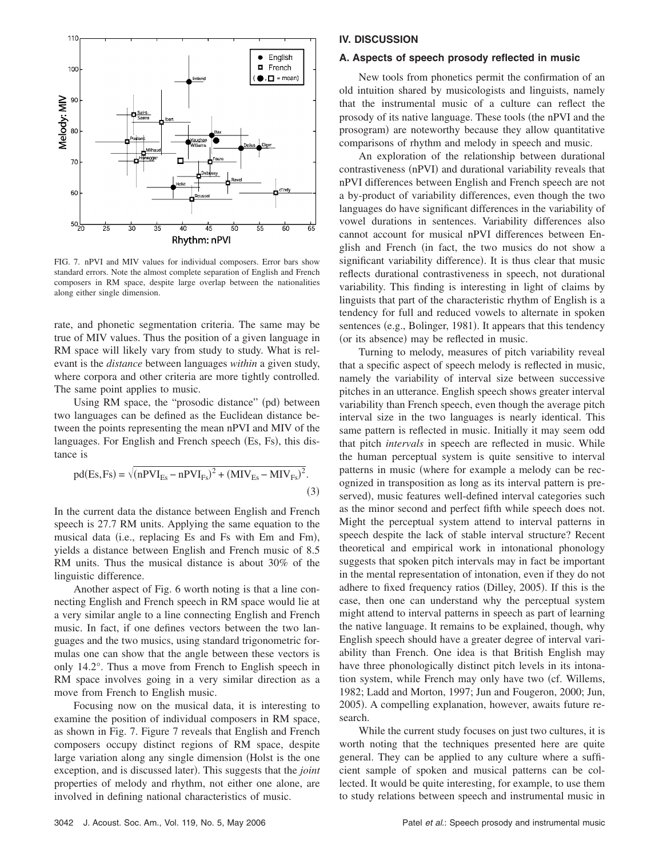

FIG. 7. nPVI and MIV values for individual composers. Error bars show standard errors. Note the almost complete separation of English and French composers in RM space, despite large overlap between the nationalities along either single dimension.

rate, and phonetic segmentation criteria. The same may be true of MIV values. Thus the position of a given language in RM space will likely vary from study to study. What is relevant is the *distance* between languages *within* a given study, where corpora and other criteria are more tightly controlled. The same point applies to music.

Using RM space, the "prosodic distance" (pd) between two languages can be defined as the Euclidean distance between the points representing the mean nPVI and MIV of the languages. For English and French speech (Es, Fs), this distance is

$$
pd(Es, Fs) = \sqrt{(nPVI_{Es} - nPVI_{Fs})^2 + (MIV_{Es} - MIV_{Fs})^2}.
$$
\n(3)

In the current data the distance between English and French speech is 27.7 RM units. Applying the same equation to the musical data (i.e., replacing Es and Fs with Em and Fm), yields a distance between English and French music of 8.5 RM units. Thus the musical distance is about 30% of the linguistic difference.

Another aspect of Fig. 6 worth noting is that a line connecting English and French speech in RM space would lie at a very similar angle to a line connecting English and French music. In fact, if one defines vectors between the two languages and the two musics, using standard trigonometric formulas one can show that the angle between these vectors is only 14.2°. Thus a move from French to English speech in RM space involves going in a very similar direction as a move from French to English music.

Focusing now on the musical data, it is interesting to examine the position of individual composers in RM space, as shown in Fig. 7. Figure 7 reveals that English and French composers occupy distinct regions of RM space, despite large variation along any single dimension (Holst is the one exception, and is discussed later). This suggests that the *joint* properties of melody and rhythm, not either one alone, are involved in defining national characteristics of music.

#### **IV. DISCUSSION**

#### **A. Aspects of speech prosody reflected in music**

New tools from phonetics permit the confirmation of an old intuition shared by musicologists and linguists, namely that the instrumental music of a culture can reflect the prosody of its native language. These tools (the nPVI and the prosogram) are noteworthy because they allow quantitative comparisons of rhythm and melody in speech and music.

An exploration of the relationship between durational contrastiveness (nPVI) and durational variability reveals that nPVI differences between English and French speech are not a by-product of variability differences, even though the two languages do have significant differences in the variability of vowel durations in sentences. Variability differences also cannot account for musical nPVI differences between English and French (in fact, the two musics do not show a significant variability difference). It is thus clear that music reflects durational contrastiveness in speech, not durational variability. This finding is interesting in light of claims by linguists that part of the characteristic rhythm of English is a tendency for full and reduced vowels to alternate in spoken sentences (e.g., Bolinger, 1981). It appears that this tendency (or its absence) may be reflected in music.

Turning to melody, measures of pitch variability reveal that a specific aspect of speech melody is reflected in music, namely the variability of interval size between successive pitches in an utterance. English speech shows greater interval variability than French speech, even though the average pitch interval size in the two languages is nearly identical. This same pattern is reflected in music. Initially it may seem odd that pitch *intervals* in speech are reflected in music. While the human perceptual system is quite sensitive to interval patterns in music (where for example a melody can be recognized in transposition as long as its interval pattern is preserved), music features well-defined interval categories such as the minor second and perfect fifth while speech does not. Might the perceptual system attend to interval patterns in speech despite the lack of stable interval structure? Recent theoretical and empirical work in intonational phonology suggests that spoken pitch intervals may in fact be important in the mental representation of intonation, even if they do not adhere to fixed frequency ratios (Dilley, 2005). If this is the case, then one can understand why the perceptual system might attend to interval patterns in speech as part of learning the native language. It remains to be explained, though, why English speech should have a greater degree of interval variability than French. One idea is that British English may have three phonologically distinct pitch levels in its intonation system, while French may only have two (cf. Willems, 1982; Ladd and Morton, 1997; Jun and Fougeron, 2000; Jun, 2005). A compelling explanation, however, awaits future research.

While the current study focuses on just two cultures, it is worth noting that the techniques presented here are quite general. They can be applied to any culture where a sufficient sample of spoken and musical patterns can be collected. It would be quite interesting, for example, to use them to study relations between speech and instrumental music in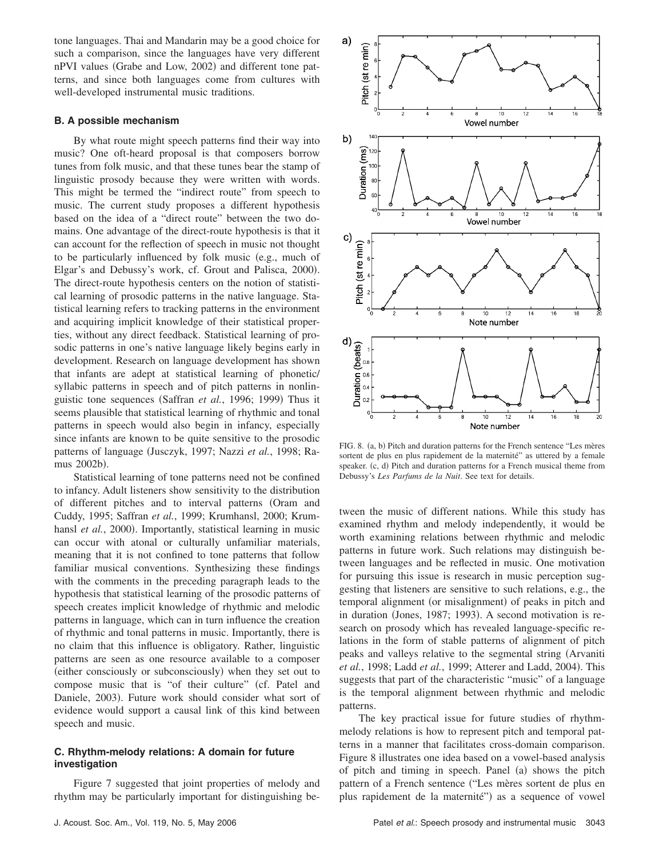tone languages. Thai and Mandarin may be a good choice for such a comparison, since the languages have very different nPVI values (Grabe and Low, 2002) and different tone patterns, and since both languages come from cultures with well-developed instrumental music traditions.

#### **B. A possible mechanism**

By what route might speech patterns find their way into music? One oft-heard proposal is that composers borrow tunes from folk music, and that these tunes bear the stamp of linguistic prosody because they were written with words. This might be termed the "indirect route" from speech to music. The current study proposes a different hypothesis based on the idea of a "direct route" between the two domains. One advantage of the direct-route hypothesis is that it can account for the reflection of speech in music not thought to be particularly influenced by folk music (e.g., much of Elgar's and Debussy's work, cf. Grout and Palisca, 2000). The direct-route hypothesis centers on the notion of statistical learning of prosodic patterns in the native language. Statistical learning refers to tracking patterns in the environment and acquiring implicit knowledge of their statistical properties, without any direct feedback. Statistical learning of prosodic patterns in one's native language likely begins early in development. Research on language development has shown that infants are adept at statistical learning of phonetic/ syllabic patterns in speech and of pitch patterns in nonlinguistic tone sequences (Saffran *et al.*, 1996; 1999) Thus it seems plausible that statistical learning of rhythmic and tonal patterns in speech would also begin in infancy, especially since infants are known to be quite sensitive to the prosodic patterns of language (Jusczyk, 1997; Nazzi et al., 1998; Ramus 2002b).

Statistical learning of tone patterns need not be confined to infancy. Adult listeners show sensitivity to the distribution of different pitches and to interval patterns (Oram and Cuddy, 1995; Saffran *et al.*, 1999; Krumhansl, 2000; Krumhansl *et al.*, 2000). Importantly, statistical learning in music can occur with atonal or culturally unfamiliar materials, meaning that it is not confined to tone patterns that follow familiar musical conventions. Synthesizing these findings with the comments in the preceding paragraph leads to the hypothesis that statistical learning of the prosodic patterns of speech creates implicit knowledge of rhythmic and melodic patterns in language, which can in turn influence the creation of rhythmic and tonal patterns in music. Importantly, there is no claim that this influence is obligatory. Rather, linguistic patterns are seen as one resource available to a composer (either consciously or subconsciously) when they set out to compose music that is "of their culture" (cf. Patel and Daniele, 2003). Future work should consider what sort of evidence would support a causal link of this kind between speech and music.

## **C. Rhythm-melody relations: A domain for future investigation**

Figure 7 suggested that joint properties of melody and rhythm may be particularly important for distinguishing be-



FIG. 8. (a, b) Pitch and duration patterns for the French sentence "Les mères sortent de plus en plus rapidement de la maternité" as uttered by a female speaker.  $(c, d)$  Pitch and duration patterns for a French musical theme from Debussy's *Les Parfums de la Nuit*. See text for details.

tween the music of different nations. While this study has examined rhythm and melody independently, it would be worth examining relations between rhythmic and melodic patterns in future work. Such relations may distinguish between languages and be reflected in music. One motivation for pursuing this issue is research in music perception suggesting that listeners are sensitive to such relations, e.g., the temporal alignment (or misalignment) of peaks in pitch and in duration (Jones, 1987; 1993). A second motivation is research on prosody which has revealed language-specific relations in the form of stable patterns of alignment of pitch peaks and valleys relative to the segmental string (Arvaniti *et al.*, 1998; Ladd *et al.*, 1999; Atterer and Ladd, 2004). This suggests that part of the characteristic "music" of a language is the temporal alignment between rhythmic and melodic patterns.

The key practical issue for future studies of rhythmmelody relations is how to represent pitch and temporal patterns in a manner that facilitates cross-domain comparison. Figure 8 illustrates one idea based on a vowel-based analysis of pitch and timing in speech. Panel (a) shows the pitch pattern of a French sentence ("Les mères sortent de plus en plus rapidement de la maternité") as a sequence of vowel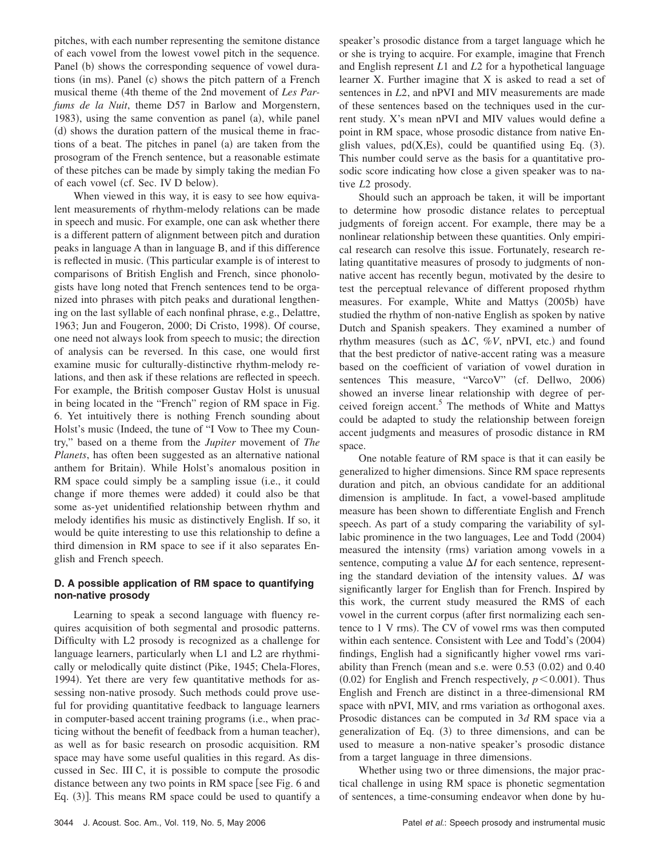pitches, with each number representing the semitone distance of each vowel from the lowest vowel pitch in the sequence. Panel (b) shows the corresponding sequence of vowel durations (in ms). Panel  $(c)$  shows the pitch pattern of a French musical theme (4th theme of the 2nd movement of *Les Parfums de la Nuit*, theme D57 in Barlow and Morgenstern, 1983), using the same convention as panel  $(a)$ , while panel (d) shows the duration pattern of the musical theme in fractions of a beat. The pitches in panel (a) are taken from the prosogram of the French sentence, but a reasonable estimate of these pitches can be made by simply taking the median Fo of each vowel (cf. Sec. IV D below).

When viewed in this way, it is easy to see how equivalent measurements of rhythm-melody relations can be made in speech and music. For example, one can ask whether there is a different pattern of alignment between pitch and duration peaks in language A than in language B, and if this difference is reflected in music. (This particular example is of interest to comparisons of British English and French, since phonologists have long noted that French sentences tend to be organized into phrases with pitch peaks and durational lengthening on the last syllable of each nonfinal phrase, e.g., Delattre, 1963; Jun and Fougeron, 2000; Di Cristo, 1998). Of course, one need not always look from speech to music; the direction of analysis can be reversed. In this case, one would first examine music for culturally-distinctive rhythm-melody relations, and then ask if these relations are reflected in speech. For example, the British composer Gustav Holst is unusual in being located in the "French" region of RM space in Fig. 6. Yet intuitively there is nothing French sounding about Holst's music (Indeed, the tune of "I Vow to Thee my Country," based on a theme from the *Jupiter* movement of *The Planets*, has often been suggested as an alternative national anthem for Britain). While Holst's anomalous position in RM space could simply be a sampling issue (i.e., it could change if more themes were added) it could also be that some as-yet unidentified relationship between rhythm and melody identifies his music as distinctively English. If so, it would be quite interesting to use this relationship to define a third dimension in RM space to see if it also separates English and French speech.

## **D. A possible application of RM space to quantifying non-native prosody**

Learning to speak a second language with fluency requires acquisition of both segmental and prosodic patterns. Difficulty with L2 prosody is recognized as a challenge for language learners, particularly when L1 and L2 are rhythmically or melodically quite distinct (Pike, 1945; Chela-Flores, 1994). Yet there are very few quantitative methods for assessing non-native prosody. Such methods could prove useful for providing quantitative feedback to language learners in computer-based accent training programs (i.e., when practicing without the benefit of feedback from a human teacher), as well as for basic research on prosodic acquisition. RM space may have some useful qualities in this regard. As discussed in Sec. III C, it is possible to compute the prosodic distance between any two points in RM space [see Fig. 6 and Eq.  $(3)$ ]. This means RM space could be used to quantify a speaker's prosodic distance from a target language which he or she is trying to acquire. For example, imagine that French and English represent *L*1 and *L*2 for a hypothetical language learner X. Further imagine that X is asked to read a set of sentences in *L*2, and nPVI and MIV measurements are made of these sentences based on the techniques used in the current study. X's mean nPVI and MIV values would define a point in RM space, whose prosodic distance from native English values,  $pd(X,Es)$ , could be quantified using Eq. (3). This number could serve as the basis for a quantitative prosodic score indicating how close a given speaker was to native *L*2 prosody.

Should such an approach be taken, it will be important to determine how prosodic distance relates to perceptual judgments of foreign accent. For example, there may be a nonlinear relationship between these quantities. Only empirical research can resolve this issue. Fortunately, research relating quantitative measures of prosody to judgments of nonnative accent has recently begun, motivated by the desire to test the perceptual relevance of different proposed rhythm measures. For example, White and Mattys (2005b) have studied the rhythm of non-native English as spoken by native Dutch and Spanish speakers. They examined a number of rhythm measures (such as  $\Delta C$ , %*V*, nPVI, etc.) and found that the best predictor of native-accent rating was a measure based on the coefficient of variation of vowel duration in sentences This measure, "VarcoV" (cf. Dellwo, 2006) showed an inverse linear relationship with degree of perceived foreign accent.<sup>5</sup> The methods of White and Mattys could be adapted to study the relationship between foreign accent judgments and measures of prosodic distance in RM space.

One notable feature of RM space is that it can easily be generalized to higher dimensions. Since RM space represents duration and pitch, an obvious candidate for an additional dimension is amplitude. In fact, a vowel-based amplitude measure has been shown to differentiate English and French speech. As part of a study comparing the variability of syllabic prominence in the two languages, Lee and Todd  $(2004)$ measured the intensity (rms) variation among vowels in a sentence, computing a value  $\Delta I$  for each sentence, representing the standard deviation of the intensity values.  $\Delta I$  was significantly larger for English than for French. Inspired by this work, the current study measured the RMS of each vowel in the current corpus (after first normalizing each sentence to  $1 \text{ V}$  rms). The CV of vowel rms was then computed within each sentence. Consistent with Lee and Todd's (2004) findings, English had a significantly higher vowel rms variability than French (mean and s.e. were  $0.53$   $(0.02)$  and  $0.40$  $(0.02)$  for English and French respectively,  $p < 0.001$ ). Thus English and French are distinct in a three-dimensional RM space with nPVI, MIV, and rms variation as orthogonal axes. Prosodic distances can be computed in 3*d* RM space via a generalization of Eq.  $(3)$  to three dimensions, and can be used to measure a non-native speaker's prosodic distance from a target language in three dimensions.

Whether using two or three dimensions, the major practical challenge in using RM space is phonetic segmentation of sentences, a time-consuming endeavor when done by hu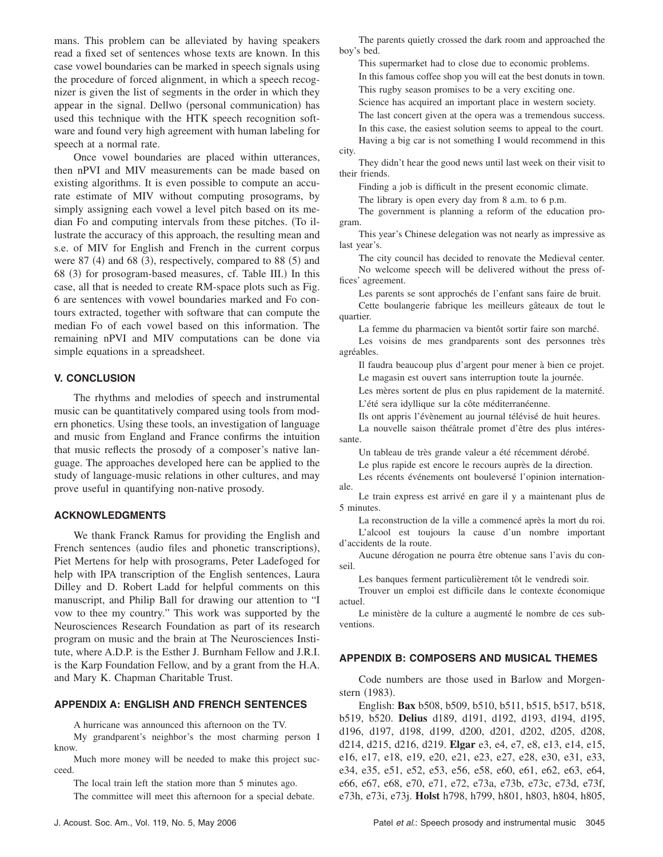mans. This problem can be alleviated by having speakers read a fixed set of sentences whose texts are known. In this case vowel boundaries can be marked in speech signals using the procedure of forced alignment, in which a speech recognizer is given the list of segments in the order in which they appear in the signal. Dellwo (personal communication) has used this technique with the HTK speech recognition software and found very high agreement with human labeling for speech at a normal rate.

Once vowel boundaries are placed within utterances, then nPVI and MIV measurements can be made based on existing algorithms. It is even possible to compute an accurate estimate of MIV without computing prosograms, by simply assigning each vowel a level pitch based on its median Fo and computing intervals from these pitches. (To illustrate the accuracy of this approach, the resulting mean and s.e. of MIV for English and French in the current corpus were  $87$  (4) and  $68$  (3), respectively, compared to  $88$  (5) and  $68$  (3) for prosogram-based measures, cf. Table III.) In this case, all that is needed to create RM-space plots such as Fig. 6 are sentences with vowel boundaries marked and Fo contours extracted, together with software that can compute the median Fo of each vowel based on this information. The remaining nPVI and MIV computations can be done via simple equations in a spreadsheet.

## **V. CONCLUSION**

The rhythms and melodies of speech and instrumental music can be quantitatively compared using tools from modern phonetics. Using these tools, an investigation of language and music from England and France confirms the intuition that music reflects the prosody of a composer's native language. The approaches developed here can be applied to the study of language-music relations in other cultures, and may prove useful in quantifying non-native prosody.

#### **ACKNOWLEDGMENTS**

We thank Franck Ramus for providing the English and French sentences (audio files and phonetic transcriptions), Piet Mertens for help with prosograms, Peter Ladefoged for help with IPA transcription of the English sentences, Laura Dilley and D. Robert Ladd for helpful comments on this manuscript, and Philip Ball for drawing our attention to "I vow to thee my country." This work was supported by the Neurosciences Research Foundation as part of its research program on music and the brain at The Neurosciences Institute, where A.D.P. is the Esther J. Burnham Fellow and J.R.I. is the Karp Foundation Fellow, and by a grant from the H.A. and Mary K. Chapman Charitable Trust.

## **APPENDIX A: ENGLISH AND FRENCH SENTENCES**

A hurricane was announced this afternoon on the TV.

My grandparent's neighbor's the most charming person I know.

Much more money will be needed to make this project succeed.

The local train left the station more than 5 minutes ago. The committee will meet this afternoon for a special debate.

The parents quietly crossed the dark room and approached the boy's bed.

This supermarket had to close due to economic problems. In this famous coffee shop you will eat the best donuts in town. This rugby season promises to be a very exciting one. Science has acquired an important place in western society. The last concert given at the opera was a tremendous success. In this case, the easiest solution seems to appeal to the court. Having a big car is not something I would recommend in this city.

They didn't hear the good news until last week on their visit to their friends.

Finding a job is difficult in the present economic climate.

The library is open every day from 8 a.m. to 6 p.m.

The government is planning a reform of the education program.

This year's Chinese delegation was not nearly as impressive as last year's.

The city council has decided to renovate the Medieval center. No welcome speech will be delivered without the press offices' agreement.

Les parents se sont approchés de l'enfant sans faire de bruit.

Cette boulangerie fabrique les meilleurs gâteaux de tout le quartier.

La femme du pharmacien va bientôt sortir faire son marché.

Les voisins de mes grandparents sont des personnes très agréables.

Il faudra beaucoup plus d'argent pour mener à bien ce projet. Le magasin est ouvert sans interruption toute la journée.

Les mères sortent de plus en plus rapidement de la maternité. L'été sera idyllique sur la côte méditerranéenne.

Ils ont appris l'évènement au journal télévisé de huit heures. La nouvelle saison théâtrale promet d'être des plus intéressante.

Un tableau de très grande valeur a été récemment dérobé.

Le plus rapide est encore le recours auprès de la direction.

Les récents événements ont bouleversé l'opinion internationale.

Le train express est arrivé en gare il y a maintenant plus de 5 minutes.

La reconstruction de la ville a commencé après la mort du roi. L'alcool est toujours la cause d'un nombre important d'accidents de la route.

Aucune dérogation ne pourra être obtenue sans l'avis du conseil.

Les banques ferment particulièrement tôt le vendredi soir.

Trouver un emploi est difficile dans le contexte économique actuel.

Le ministère de la culture a augmenté le nombre de ces subventions.

#### **APPENDIX B: COMPOSERS AND MUSICAL THEMES**

Code numbers are those used in Barlow and Morgenstern (1983).

English: **Bax** b508, b509, b510, b511, b515, b517, b518, b519, b520. **Delius** d189, d191, d192, d193, d194, d195, d196, d197, d198, d199, d200, d201, d202, d205, d208, d214, d215, d216, d219. **Elgar** e3, e4, e7, e8, e13, e14, e15, e16, e17, e18, e19, e20, e21, e23, e27, e28, e30, e31, e33, e34, e35, e51, e52, e53, e56, e58, e60, e61, e62, e63, e64, e66, e67, e68, e70, e71, e72, e73a, e73b, e73c, e73d, e73f, e73h, e73i, e73j. **Holst** h798, h799, h801, h803, h804, h805,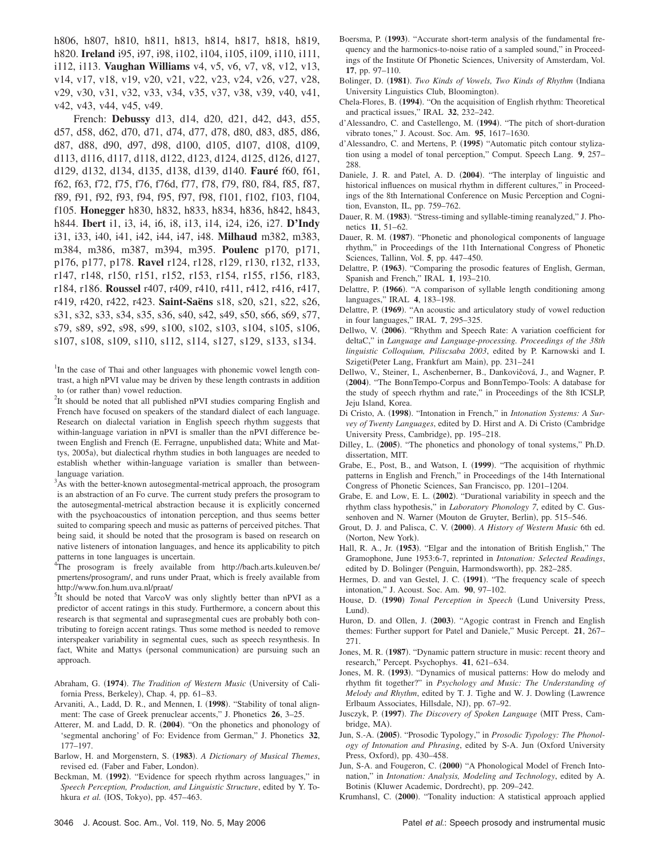h806, h807, h810, h811, h813, h814, h817, h818, h819, h820. **Ireland** i95, i97, i98, i102, i104, i105, i109, i110, i111, i112, i113. **Vaughan Williams** v4, v5, v6, v7, v8, v12, v13, v14, v17, v18, v19, v20, v21, v22, v23, v24, v26, v27, v28, v29, v30, v31, v32, v33, v34, v35, v37, v38, v39, v40, v41, v42, v43, v44, v45, v49.

French: **Debussy** d13, d14, d20, d21, d42, d43, d55, d57, d58, d62, d70, d71, d74, d77, d78, d80, d83, d85, d86, d87, d88, d90, d97, d98, d100, d105, d107, d108, d109, d113, d116, d117, d118, d122, d123, d124, d125, d126, d127, d129, d132, d134, d135, d138, d139, d140. **Fauré** f60, f61, f62, f63, f72, f75, f76, f76d, f77, f78, f79, f80, f84, f85, f87, f89, f91, f92, f93, f94, f95, f97, f98, f101, f102, f103, f104, f105. **Honegger** h830, h832, h833, h834, h836, h842, h843, h844. **Ibert** i1, i3, i4, i6, i8, i13, i14, i24, i26, i27. **D'Indy** i31, i33, i40, i41, i42, i44, i47, i48. **Milhaud** m382, m383, m384, m386, m387, m394, m395. **Poulenc** p170, p171, p176, p177, p178. **Ravel** r124, r128, r129, r130, r132, r133, r147, r148, r150, r151, r152, r153, r154, r155, r156, r183, r184, r186. **Roussel** r407, r409, r410, r411, r412, r416, r417, r419, r420, r422, r423. **Saint-Saëns** s18, s20, s21, s22, s26, s31, s32, s33, s34, s35, s36, s40, s42, s49, s50, s66, s69, s77, s79, s89, s92, s98, s99, s100, s102, s103, s104, s105, s106, s107, s108, s109, s110, s112, s114, s127, s129, s133, s134.

<sup>1</sup>In the case of Thai and other languages with phonemic vowel length contrast, a high nPVI value may be driven by these length contrasts in addition to (or rather than) vowel reduction.

<sup>2</sup>It should be noted that all published nPVI studies comparing English and French have focused on speakers of the standard dialect of each language. Research on dialectal variation in English speech rhythm suggests that within-language variation in nPVI is smaller than the nPVI difference between English and French (E. Ferragne, unpublished data; White and Mattys, 2005a), but dialectical rhythm studies in both languages are needed to establish whether within-language variation is smaller than betweenlanguage variation.

<sup>3</sup>As with the better-known autosegmental-metrical approach, the prosogram is an abstraction of an Fo curve. The current study prefers the prosogram to the autosegmental-metrical abstraction because it is explicitly concerned with the psychoacoustics of intonation perception, and thus seems better suited to comparing speech and music as patterns of perceived pitches. That being said, it should be noted that the prosogram is based on research on native listeners of intonation languages, and hence its applicability to pitch patterns in tone languages is uncertain. <sup>4</sup>

The prosogram is freely available from http://bach.arts.kuleuven.be/ pmertens/prosogram/, and runs under Praat, which is freely available from http://www.fon.hum.uva.nl/praat/ <sup>5</sup>

<sup>5</sup>It should be noted that VarcoV was only slightly better than nPVI as a predictor of accent ratings in this study. Furthermore, a concern about this research is that segmental and suprasegmental cues are probably both contributing to foreign accent ratings. Thus some method is needed to remove interspeaker variability in segmental cues, such as speech resynthesis. In fact, White and Mattys (personal communication) are pursuing such an approach.

Abraham, G. (1974). *The Tradition of Western Music* (University of California Press, Berkeley), Chap. 4, pp. 61-83.

Arvaniti, A., Ladd, D. R., and Mennen, I. (1998). "Stability of tonal alignment: The case of Greek prenuclear accents," J. Phonetics **26**, 3–25.

- Atterer, M. and Ladd, D. R. (2004). "On the phonetics and phonology of 'segmental anchoring' of Fo: Evidence from German," J. Phonetics **32**, 177–197.
- Barlow, H. and Morgenstern, S. (1983). *A Dictionary of Musical Themes*, revised ed. (Faber and Faber, London).
- Beckman, M. (1992). "Evidence for speech rhythm across languages," in *Speech Perception, Production, and Linguistic Structure*, edited by Y. Tohkura et al. (IOS, Tokyo), pp. 457-463.
- Boersma, P. (1993). "Accurate short-term analysis of the fundamental frequency and the harmonics-to-noise ratio of a sampled sound," in Proceedings of the Institute Of Phonetic Sciences, University of Amsterdam, Vol. **17**, pp. 97–110.
- Bolinger, D. (1981). *Two Kinds of Vowels, Two Kinds of Rhythm* (Indiana University Linguistics Club, Bloomington).
- Chela-Flores, B. (1994). "On the acquisition of English rhythm: Theoretical and practical issues," IRAL **32**, 232–242.
- d'Alessandro, C. and Castellengo, M. (1994). "The pitch of short-duration vibrato tones," J. Acoust. Soc. Am. **95**, 1617–1630.
- d'Alessandro, C. and Mertens, P. (1995) "Automatic pitch contour stylization using a model of tonal perception," Comput. Speech Lang. **9**, 257– 288.
- Daniele, J. R. and Patel, A. D. (2004). "The interplay of linguistic and historical influences on musical rhythm in different cultures," in Proceedings of the 8th International Conference on Music Perception and Cognition, Evanston, IL, pp. 759–762.
- Dauer, R. M. (1983). "Stress-timing and syllable-timing reanalyzed," J. Phonetics **11**, 51–62.
- Dauer, R. M. (1987). "Phonetic and phonological components of language rhythm," in Proceedings of the 11th International Congress of Phonetic Sciences, Tallinn, Vol. **5**, pp. 447–450.
- Delattre, P. (1963). "Comparing the prosodic features of English, German, Spanish and French," IRAL **1**, 193–210.
- Delattre, P. (1966). "A comparison of syllable length conditioning among languages," IRAL **4**, 183–198.
- Delattre, P. (1969). "An acoustic and articulatory study of vowel reduction in four languages," IRAL **7**, 295–325.
- Dellwo, V. (2006). "Rhythm and Speech Rate: A variation coefficient for deltaC," in *Language and Language-processing. Proceedings of the 38th linguistic Colloquium, Piliscsaba 2003*, edited by P. Karnowski and I. Szigeti(Peter Lang, Frankfurt am Main), pp. 231-241
- Dellwo, V., Steiner, I., Aschenberner, B., Dankovičová, J., and Wagner, P. (2004). "The BonnTempo-Corpus and BonnTempo-Tools: A database for the study of speech rhythm and rate," in Proceedings of the 8th ICSLP, Jeju Island, Korea.
- Di Cristo, A. (1998). "Intonation in French," in *Intonation Systems: A Survey of Twenty Languages*, edited by D. Hirst and A. Di Cristo (Cambridge University Press, Cambridge), pp. 195–218.
- Dilley, L. (2005). "The phonetics and phonology of tonal systems," Ph.D. dissertation, MIT.
- Grabe, E., Post, B., and Watson, I. (1999). "The acquisition of rhythmic patterns in English and French," in Proceedings of the 14th International Congress of Phonetic Sciences, San Francisco, pp. 1201–1204.
- Grabe, E. and Low, E. L. (2002). "Durational variability in speech and the rhythm class hypothesis," in *Laboratory Phonology 7*, edited by C. Gussenhoven and N. Warner (Mouton de Gruyter, Berlin), pp. 515–546.
- Grout, D. J. and Palisca, C. V. (2000). *A History of Western Music* 6th ed. (Norton, New York).
- Hall, R. A., Jr. (1953). "Elgar and the intonation of British English," The Gramophone, June 1953:6-7, reprinted in *Intonation: Selected Readings*, edited by D. Bolinger (Penguin, Harmondsworth), pp. 282-285.
- Hermes, D. and van Gestel, J. C. (1991). "The frequency scale of speech intonation," J. Acoust. Soc. Am. **90**, 97–102.
- House, D. (1990) *Tonal Perception in Speech* (Lund University Press, Lund).
- Huron, D. and Ollen, J. (2003). "Agogic contrast in French and English themes: Further support for Patel and Daniele," Music Percept. **21**, 267– 271.
- Jones, M. R. (1987). "Dynamic pattern structure in music: recent theory and research," Percept. Psychophys. **41**, 621–634.
- Jones, M. R. (1993). "Dynamics of musical patterns: How do melody and rhythm fit together?" in *Psychology and Music: The Understanding of Melody and Rhythm*, edited by T. J. Tighe and W. J. Dowling (Lawrence Erlbaum Associates, Hillsdale, NJ), pp. 67–92.
- Jusczyk, P. (1997). *The Discovery of Spoken Language* (MIT Press, Cambridge, MA).
- Jun, S.-A. (2005). "Prosodic Typology," in *Prosodic Typology: The Phonology of Intonation and Phrasing*, edited by S-A. Jun !Oxford University Press, Oxford), pp. 430-458.
- Jun, S-A. and Fougeron, C. (2000) "A Phonological Model of French Intonation," in *Intonation: Analysis, Modeling and Technology*, edited by A. Botinis (Kluwer Academic, Dordrecht), pp. 209–242.
- Krumhansl, C. (2000). "Tonality induction: A statistical approach applied